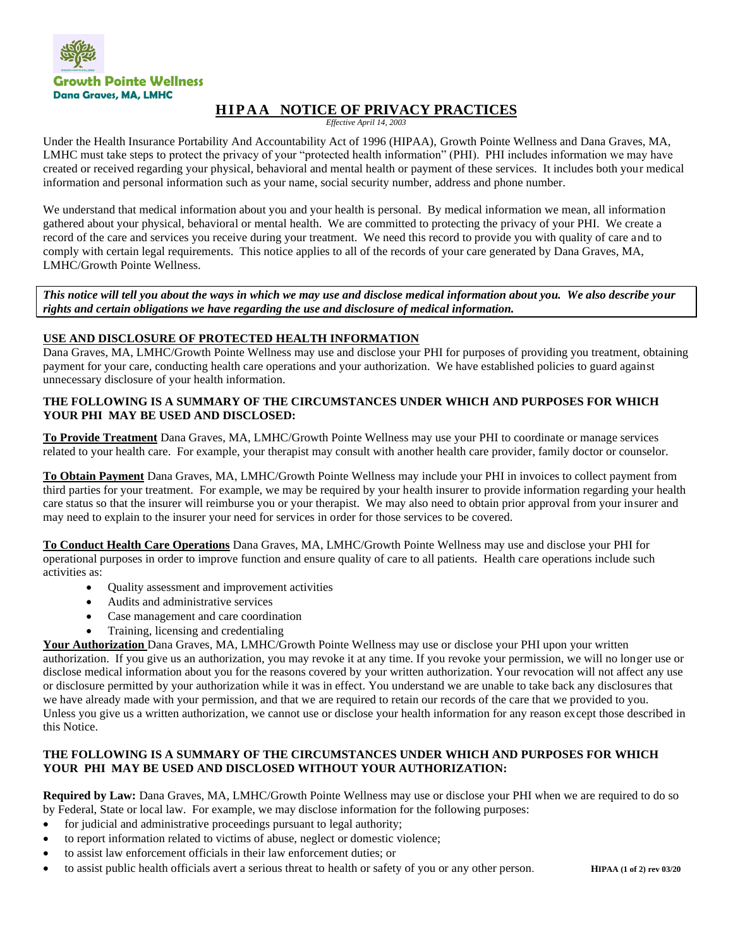

# **H I P A A NOTICE OF PRIVACY PRACTICES**

*Effective April 14, 2003*

Under the Health Insurance Portability And Accountability Act of 1996 (HIPAA), Growth Pointe Wellness and Dana Graves, MA, LMHC must take steps to protect the privacy of your "protected health information" (PHI). PHI includes information we may have created or received regarding your physical, behavioral and mental health or payment of these services. It includes both your medical information and personal information such as your name, social security number, address and phone number.

We understand that medical information about you and your health is personal. By medical information we mean, all information gathered about your physical, behavioral or mental health. We are committed to protecting the privacy of your PHI. We create a record of the care and services you receive during your treatment. We need this record to provide you with quality of care and to comply with certain legal requirements. This notice applies to all of the records of your care generated by Dana Graves, MA, LMHC/Growth Pointe Wellness.

*This notice will tell you about the ways in which we may use and disclose medical information about you. We also describe your rights and certain obligations we have regarding the use and disclosure of medical information.* 

# **USE AND DISCLOSURE OF PROTECTED HEALTH INFORMATION**

Dana Graves, MA, LMHC/Growth Pointe Wellness may use and disclose your PHI for purposes of providing you treatment, obtaining payment for your care, conducting health care operations and your authorization. We have established policies to guard against unnecessary disclosure of your health information.

## **THE FOLLOWING IS A SUMMARY OF THE CIRCUMSTANCES UNDER WHICH AND PURPOSES FOR WHICH YOUR PHI MAY BE USED AND DISCLOSED:**

**To Provide Treatment** Dana Graves, MA, LMHC/Growth Pointe Wellness may use your PHI to coordinate or manage services related to your health care. For example, your therapist may consult with another health care provider, family doctor or counselor.

**To Obtain Payment** Dana Graves, MA, LMHC/Growth Pointe Wellness may include your PHI in invoices to collect payment from third parties for your treatment. For example, we may be required by your health insurer to provide information regarding your health care status so that the insurer will reimburse you or your therapist. We may also need to obtain prior approval from your insurer and may need to explain to the insurer your need for services in order for those services to be covered.

**To Conduct Health Care Operations** Dana Graves, MA, LMHC/Growth Pointe Wellness may use and disclose your PHI for operational purposes in order to improve function and ensure quality of care to all patients. Health care operations include such activities as:

- Quality assessment and improvement activities
- Audits and administrative services
- Case management and care coordination
- Training, licensing and credentialing

**Your Authorization** Dana Graves, MA, LMHC/Growth Pointe Wellness may use or disclose your PHI upon your written authorization. If you give us an authorization, you may revoke it at any time. If you revoke your permission, we will no longer use or disclose medical information about you for the reasons covered by your written authorization. Your revocation will not affect any use or disclosure permitted by your authorization while it was in effect. You understand we are unable to take back any disclosures that we have already made with your permission, and that we are required to retain our records of the care that we provided to you. Unless you give us a written authorization, we cannot use or disclose your health information for any reason except those described in this Notice.

## **THE FOLLOWING IS A SUMMARY OF THE CIRCUMSTANCES UNDER WHICH AND PURPOSES FOR WHICH YOUR PHI MAY BE USED AND DISCLOSED WITHOUT YOUR AUTHORIZATION:**

**Required by Law:** Dana Graves, MA, LMHC/Growth Pointe Wellness may use or disclose your PHI when we are required to do so by Federal, State or local law. For example, we may disclose information for the following purposes:

- for judicial and administrative proceedings pursuant to legal authority;
- to report information related to victims of abuse, neglect or domestic violence;
- to assist law enforcement officials in their law enforcement duties; or
- to assist public health officials avert a serious threat to health or safety of you or any other person. **HIPAA (1 of 2) rev 03/20**